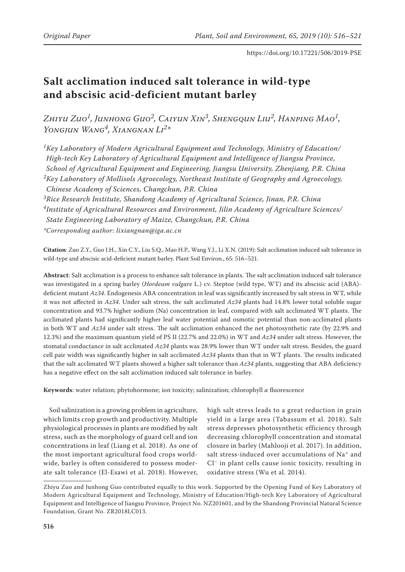# **Salt acclimation induced salt tolerance in wild-type and abscisic acid-deficient mutant barley**

*Zhiyu Zuo1, Junhong Guo2, Caiyun Xin3, Shengqun Liu2, Hanping Mao1, Yongjun Wang4, Xiangnan Li2\**

*1Key Laboratory of Modern Agricultural Equipment and Technology, Ministry of Education/ High-tech Key Laboratory of Agricultural Equipment and Intelligence of Jiangsu Province, School of Agricultural Equipment and Engineering, Jiangsu University, Zhenjiang, P.R. China 2Key Laboratory of Mollisols Agroecology, Northeast Institute of Geography and Agroecology, Chinese Academy of Sciences, Changchun, P.R. China*

*3Rice Research Institute, Shandong Academy of Agricultural Science, Jinan, P.R. China 4Institute of Agricultural Resources and Environment, Jilin Academy of Agriculture Sciences/ State Engineering Laboratory of Maize, Changchun, P.R. China*

*\*Corresponding author: lixiangnan@iga.ac.cn*

**Citation**: Zuo Z.Y., Guo J.H., Xin C.Y., Liu S.Q., Mao H.P., Wang Y.J., Li X.N. (2019): Salt acclimation induced salt tolerance in wild-type and abscisic acid-deficient mutant barley. Plant Soil Environ., 65: 516–521.

**Abstract**: Salt acclimation is a process to enhance salt tolerance in plants. The salt acclimation induced salt tolerance was investigated in a spring barley (*Hordeum vulgare* L.) cv. Steptoe (wild type, WT) and its abscisic acid (ABA) deficient mutant *Az34*. Endogenesis ABA concentration in leaf was significantly increased by salt stress in WT, while it was not affected in *Az34*. Under salt stress, the salt acclimated *Az34* plants had 14.8% lower total soluble sugar concentration and 93.7% higher sodium (Na) concentration in leaf, compared with salt acclimated WT plants. The acclimated plants had significantly higher leaf water potential and osmotic potential than non-acclimated plants in both WT and *Az34* under salt stress. The salt acclimation enhanced the net photosynthetic rate (by 22.9% and 12.3%) and the maximum quantum yield of PS II (22.7% and 22.0%) in WT and *Az34* under salt stress. However, the stomatal conductance in salt acclimated *Az34* plants was 28.9% lower than WT under salt stress. Besides, the guard cell pair width was significantly higher in salt acclimated *Az34* plants than that in WT plants. The results indicated that the salt acclimated WT plants showed a higher salt tolerance than *Az34* plants, suggesting that ABA deficiency has a negative effect on the salt acclimation induced salt tolerance in barley.

**Keywords**: water relation; phytohormone; ion toxicity; salinization; chlorophyll *a* fluorescence

Soil salinization is a growing problem in agriculture, which limits crop growth and productivity. Multiple physiological processes in plants are modified by salt stress, such as the morphology of guard cell and ion concentrations in leaf (Liang et al. 2018). As one of the most important agricultural food crops worldwide, barley is often considered to possess moderate salt tolerance (El-Esawi et al. 2018). However,

high salt stress leads to a great reduction in grain yield in a large area (Tabassum et al. 2018). Salt stress depresses photosynthetic efficiency through decreasing chlorophyll concentration and stomatal closure in barley (Mahlooji et al. 2017). In addition, salt stress-induced over accumulations of Na+ and Cl– in plant cells cause ionic toxicity, resulting in oxidative stress (Wu et al. 2014).

Zhiyu Zuo and Junhong Guo contributed equally to this work. Supported by the Opening Fund of Key Laboratory of Modern Agricultural Equipment and Technology, Ministry of Education/High-tech Key Laboratory of Agricultural Equipment and Intelligence of Jiangsu Province, Project No. NZ201601, and by the Shandong Provincial Natural Science Foundation, Grant No. ZR2018LC013.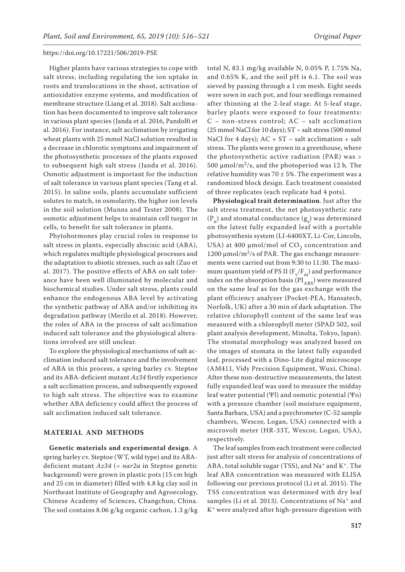Higher plants have various strategies to cope with salt stress, including regulating the ion uptake in roots and translocations in the shoot, activation of antioxidative enzyme systems, and modification of membrane structure (Liang et al. 2018). Salt acclimation has been documented to improve salt tolerance in various plant species (Janda et al. 2016, Pandolfi et al. 2016). For instance, salt acclimation by irrigating wheat plants with 25 mmol NaCl solution resulted in a decrease in chlorotic symptoms and impairment of the photosynthetic processes of the plants exposed to subsequent high salt stress (Janda et al. 2016). Osmotic adjustment is important for the induction of salt tolerance in various plant species (Tang et al. 2015). In saline soils, plants accumulate sufficient solutes to match, in osmolarity, the higher ion levels in the soil solution (Munns and Tester 2008). The osmotic adjustment helps to maintain cell turgor in cells, to benefit for salt tolerance in plants.

Phytohormones play crucial roles in response to salt stress in plants, especially abscisic acid (ABA), which regulates multiple physiological processes and the adaptation to abiotic stresses, such as salt (Zuo et al. 2017). The positive effects of ABA on salt tolerance have been well illuminated by molecular and biochemical studies. Under salt stress, plants could enhance the endogenous ABA level by activating the synthetic pathway of ABA and/or inhibiting its degradation pathway (Merilo et al. 2018). However, the roles of ABA in the process of salt acclimation induced salt tolerance and the physiological alterations involved are still unclear.

To explore the physiological mechanisms of salt acclimation induced salt tolerance and the involvement of ABA in this process, a spring barley cv. Steptoe and its ABA-deficient mutant *Az34* firstly experience a salt acclimation process, and subsequently exposed to high salt stress. The objective was to examine whether ABA deficiency could affect the process of salt acclimation induced salt tolerance.

#### **MATERIAL AND METHODS**

**Genetic materials and experimental design**. A spring barley cv. Steptoe (WT, wild type) and its ABAdeficient mutant *Az34* (= *nar2a* in Steptoe genetic background) were grown in plastic pots (15 cm high and 25 cm in diameter) filled with 4.8 kg clay soil in Northeast Institute of Geography and Agroecology, Chinese Academy of Sciences, Changchun, China. The soil contains 8.06 g/kg organic carbon, 1.3 g/kg

total N, 83.1 mg/kg available N, 0.05% P, 1.75% Na, and 0.65% K, and the soil pH is 6.1. The soil was sieved by passing through a 1 cm mesh. Eight seeds were sown in each pot, and four seedlings remained after thinning at the 2-leaf stage. At 5-leaf stage, barley plants were exposed to four treatments: C – non-stress control; AC – salt acclimation (25 mmol NaCl for 10 days); ST – salt stress (500 mmol NaCl for 4 days);  $AC + ST - salt$  acclimation + salt stress. The plants were grown in a greenhouse, where the photosynthetic active radiation (PAR) was > 500 μmol/m<sup>2</sup>/s, and the photoperiod was 12 h. The relative humidity was  $70 \pm 5\%$ . The experiment was a randomized block design. Each treatment consisted of three replicates (each replicate had 4 pots).

**Physiological trait determination**. Just after the salt stress treatment, the net photosynthetic rate  $(P_n)$  and stomatal conductance  $(g_s)$  was determined on the latest fully expanded leaf with a portable photosynthesis system (LI-6400XT, Li-Cor, Lincoln, USA) at 400  $\mu$ mol/mol of CO<sub>2</sub> concentration and 1200  $\mu$ mol/m<sup>2</sup>/s of PAR. The gas exchange measurements were carried out from 9:30 to 11:30. The maximum quantum yield of PS II ( $F_v/F_m$ ) and performance index on the absorption basis ( $PI<sub>ARS</sub>$ ) were measured on the same leaf as for the gas exchange with the plant efficiency analyzer (Pocket-PEA, Hansatech, Norfolk, UK) after a 30 min of dark adaptation. The relative chlorophyll content of the same leaf was measured with a chlorophyll meter (SPAD 502, soil plant analysis development, Minolta, Tokyo, Japan). The stomatal morphology was analyzed based on the images of stomata in the latest fully expanded leaf, processed with a Dino-Lite digital microscope (AM411, Vidy Precision Equipment, Wuxi, China). After these non-destructive measurements, the latest fully expanded leaf was used to measure the midday leaf water potential (Ψl) and osmotic potential (Ψo) with a pressure chamber (soil moisture equipment, Santa Barbara, USA) and a psychrometer (C-52 sample chambers, Wescor, Logan, USA) connected with a microvolt meter (HR-33T, Wescor, Logan, USA), respectively.

The leaf samples from each treatment were collected just after salt stress for analysis of concentrations of ABA, total soluble sugar (TSS), and Na+ and K+. The leaf ABA concentration was measured with ELISA following our previous protocol (Li et al. 2015). The TSS concentration was determined with dry leaf samples (Li et al. 2013). Concentrations of Na<sup>+</sup> and K+ were analyzed after high-pressure digestion with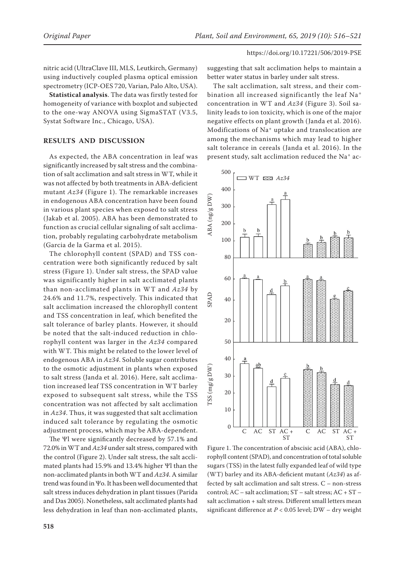nitric acid (UltraClave III, MLS, Leutkirch, Germany) using inductively coupled plasma optical emission spectrometry (ICP-OES 720, Varian, Palo Alto, USA).

**Statistical analysis**. The data was firstly tested for homogeneity of variance with boxplot and subjected to the one-way ANOVA using SigmaSTAT (V3.5, Systat Software Inc., Chicago, USA).

### **RESULTS AND DISCUSSION**

As expected, the ABA concentration in leaf was significantly increased by salt stress and the combination of salt acclimation and salt stress in WT, while it was not affected by both treatments in ABA-deficient mutant *Az34* (Figure 1). The remarkable increases in endogenous ABA concentration have been found in various plant species when exposed to salt stress (Jakab et al. 2005). ABA has been demonstrated to function as crucial cellular signaling of salt acclimation, probably regulating carbohydrate metabolism (Garcia de la Garma et al. 2015).

The chlorophyll content (SPAD) and TSS concentration were both significantly reduced by salt stress (Figure 1). Under salt stress, the SPAD value was significantly higher in salt acclimated plants than non-acclimated plants in WT and *Az34* by 24.6% and 11.7%, respectively. This indicated that salt acclimation increased the chlorophyll content and TSS concentration in leaf, which benefited the salt tolerance of barley plants. However, it should be noted that the salt-induced reduction in chlorophyll content was larger in the *Az34* compared with WT. This might be related to the lower level of endogenous ABA in *Az34*. Soluble sugar contributes to the osmotic adjustment in plants when exposed to salt stress (Janda et al. 2016). Here, salt acclimation increased leaf TSS concentration in WT barley exposed to subsequent salt stress, while the TSS concentration was not affected by salt acclimation in *Az34*. Thus, it was suggested that salt acclimation induced salt tolerance by regulating the osmotic adjustment process, which may be ABA-dependent.

The Ψl were significantly decreased by 57.1% and 72.0% in WT and *Az34* under salt stress, compared with the control (Figure 2). Under salt stress, the salt acclimated plants had 15.9% and 13.4% higher Ψl than the non-acclimated plants in both WT and *Az34*. A similar trend was found in Ψo. It has been well documented that salt stress induces dehydration in plant tissues (Parida and Das 2005). Nonetheless, salt acclimated plants had less dehydration in leaf than non-acclimated plants,

suggesting that salt acclimation helps to maintain a better water status in barley under salt stress.

The salt acclimation, salt stress, and their combination all increased significantly the leaf Na<sup>+</sup> concentration in WT and *Az34* (Figure 3). Soil salinity leads to ion toxicity, which is one of the major negative effects on plant growth (Janda et al. 2016). Modifications of Na+ uptake and translocation are among the mechanisms which may lead to higher salt tolerance in cereals (Janda et al. 2016). In the present study, salt acclimation reduced the Na+ ac-



Figure 1. The concentration of abscisic acid (ABA), chlorophyll content (SPAD), and concentration of total soluble sugars (TSS) in the latest fully expanded leaf of wild type (WT) barley and its ABA-deficient mutant (*Az34*) as affected by salt acclimation and salt stress. C – non-stress control; AC – salt acclimation; ST – salt stress; AC + ST – salt acclimation + salt stress. Different small letters mean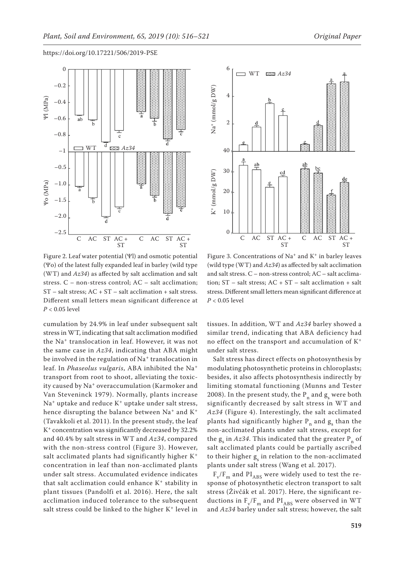



Figure 2. Leaf water potential (Ψl) and osmotic potential (Ψo) of the latest fully expanded leaf in barley (wild type (WT) and *Az34*) as affected by salt acclimation and salt stress. C – non-stress control; AC – salt acclimation;  $ST$  – salt stress;  $AC + ST$  – salt acclimation + salt stress. Different small letters mean significant difference at *P* < 0.05 level

cumulation by 24.9% in leaf under subsequent salt stress in WT, indicating that salt acclimation modified the Na+ translocation in leaf. However, it was not the same case in *Az34*, indicating that ABA might be involved in the regulation of Na<sup>+</sup> translocation in leaf. In *Phaseolus vulgaris*, ABA inhibited the Na<sup>+</sup> transport from root to shoot, alleviating the toxicity caused by Na+ overaccumulation (Karmoker and Van Steveninck 1979). Normally, plants increase  $Na<sup>+</sup>$  uptake and reduce  $K<sup>+</sup>$  uptake under salt stress, hence disrupting the balance between Na<sup>+</sup> and K<sup>+</sup> (Tavakkoli et al. 2011). In the present study, the leaf K+ concentration was significantly decreased by 32.2% and 40.4% by salt stress in WT and *Az34*, compared with the non-stress control (Figure 3). However, salt acclimated plants had significantly higher  $K^+$ concentration in leaf than non-acclimated plants under salt stress. Accumulated evidence indicates that salt acclimation could enhance  $K^+$  stability in plant tissues (Pandolfi et al. 2016). Here, the salt acclimation induced tolerance to the subsequent salt stress could be linked to the higher K+ level in

Figure 3. Concentrations of Na<sup>+</sup> and K<sup>+</sup> in barley leaves (wild type (WT) and *Az34*) as affected by salt acclimation and salt stress. C – non-stress control; AC – salt acclimation;  $ST$  – salt stress;  $AC + ST$  – salt acclimation + salt stress. Different small letters mean significant difference at *P* < 0.05 level

tissues. In addition, WT and *Az34* barley showed a similar trend, indicating that ABA deficiency had no effect on the transport and accumulation of K<sup>+</sup> under salt stress.

Salt stress has direct effects on photosynthesis by modulating photosynthetic proteins in chloroplasts; besides, it also affects photosynthesis indirectly by limiting stomatal functioning (Munns and Tester 2008). In the present study, the  $P_n$  and  $g_s$  were both significantly decreased by salt stress in WT and *Az34* (Figure 4). Interestingly, the salt acclimated plants had significantly higher  $P_n$  and  $g_s$  than the non-acclimated plants under salt stress, except for the  $g_s$  in *Az34*. This indicated that the greater  $P_n$  of salt acclimated plants could be partially ascribed to their higher  $g_s$  in relation to the non-acclimated plants under salt stress (Wang et al. 2017).

 $F_{\rm v}/F_{\rm m}$  and PI<sub>ABS</sub> were widely used to test the response of photosynthetic electron transport to salt stress (Živčák et al. 2017). Here, the significant reductions in  $F_v/F_m$  and  $PI_{ABS}$  were observed in WT and *Az34* barley under salt stress; however, the salt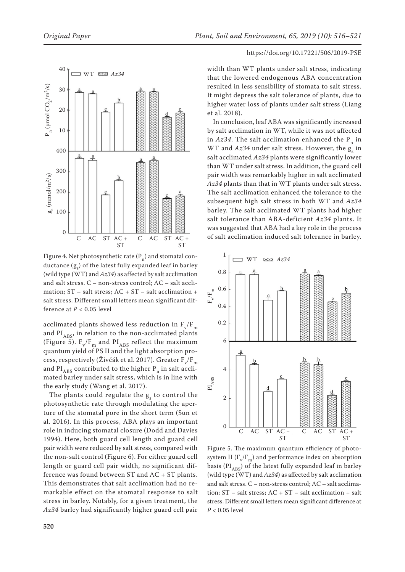

Figure 4. Net photosynthetic rate  $(P_n)$  and stomatal conductance  $(\text{g}_{\text{s}})$  of the latest fully expanded leaf in barley (wild type (WT) and *Az34*) as affected by salt acclimation and salt stress. C – non-stress control; AC – salt acclimation;  $ST$  – salt stress;  $AC + ST$  – salt acclimation + salt stress. Different small letters mean significant difference at *P* < 0.05 level

acclimated plants showed less reduction in  $F_v/F_m$ and  $PI<sub>ARS</sub>$ , in relation to the non-acclimated plants (Figure 5).  $F_v/F_m$  and PI<sub>ABS</sub> reflect the maximum quantum yield of PS II and the light absorption process, respectively (Zivčák et al. 2017). Greater  $F_{\rm v}/F_{\rm m}$ and  $PI_{ARS}$  contributed to the higher  $P_n$  in salt acclimated barley under salt stress, which is in line with the early study (Wang et al. 2017).

The plants could regulate the  $g_s$  to control the photosynthetic rate through modulating the aperture of the stomatal pore in the short term (Sun et al. 2016). In this process, ABA plays an important role in inducing stomatal closure (Dodd and Davies 1994). Here, both guard cell length and guard cell pair width were reduced by salt stress, compared with the non-salt control (Figure 6). For either guard cell length or guard cell pair width, no significant difference was found between ST and AC + ST plants. This demonstrates that salt acclimation had no remarkable effect on the stomatal response to salt stress in barley. Notably, for a given treatment, the *Az34* barley had significantly higher guard cell pair

## https://doi.org/10.17221/506/2019-PSE

width than WT plants under salt stress, indicating that the lowered endogenous ABA concentration resulted in less sensibility of stomata to salt stress. It might depress the salt tolerance of plants, due to higher water loss of plants under salt stress (Liang et al. 2018).

In conclusion, leaf ABA was significantly increased by salt acclimation in WT, while it was not affected in  $Az34$ . The salt acclimation enhanced the  $P_n$  in WT and  $Az34$  under salt stress. However, the  $g_s$  in salt acclimated *Az34* plants were significantly lower than WT under salt stress. In addition, the guard cell pair width was remarkably higher in salt acclimated *Az34* plants than that in WT plants under salt stress. The salt acclimation enhanced the tolerance to the subsequent high salt stress in both WT and *Az34* barley. The salt acclimated WT plants had higher salt tolerance than ABA-deficient *Az34* plants. It was suggested that ABA had a key role in the process of salt acclimation induced salt tolerance in barley.



Figure 5. The maximum quantum efficiency of photosystem II ( $F_v/F_m$ ) and performance index on absorption basis (PI<sub>ABS</sub>) of the latest fully expanded leaf in barley (wild type (WT) and *Az34*) as affected by salt acclimation and salt stress. C – non-stress control; AC – salt acclimation; ST – salt stress; AC + ST – salt acclimation + salt stress. Different small letters mean significant difference at *P* < 0.05 level